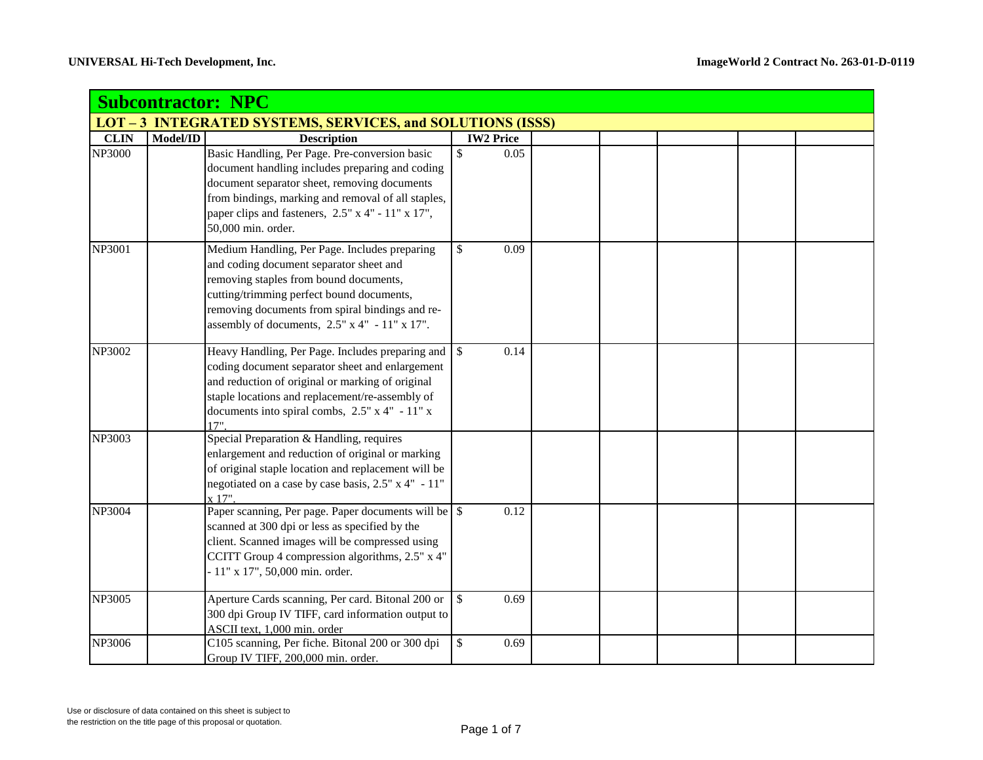|                                                                   | <b>Subcontractor: NPC</b> |                                                                                                                                                                                                                                                                                     |                      |  |  |  |  |  |  |
|-------------------------------------------------------------------|---------------------------|-------------------------------------------------------------------------------------------------------------------------------------------------------------------------------------------------------------------------------------------------------------------------------------|----------------------|--|--|--|--|--|--|
| <b>LOT - 3 INTEGRATED SYSTEMS, SERVICES, and SOLUTIONS (ISSS)</b> |                           |                                                                                                                                                                                                                                                                                     |                      |  |  |  |  |  |  |
| <b>CLIN</b>                                                       | Model/ID                  | <b>Description</b>                                                                                                                                                                                                                                                                  | <b>IW2 Price</b>     |  |  |  |  |  |  |
| <b>NP3000</b>                                                     |                           | Basic Handling, Per Page. Pre-conversion basic<br>document handling includes preparing and coding<br>document separator sheet, removing documents<br>from bindings, marking and removal of all staples,<br>paper clips and fasteners, 2.5" x 4" - 11" x 17",<br>50,000 min. order.  | \$<br>0.05           |  |  |  |  |  |  |
| NP3001                                                            |                           | Medium Handling, Per Page. Includes preparing<br>and coding document separator sheet and<br>removing staples from bound documents,<br>cutting/trimming perfect bound documents,<br>removing documents from spiral bindings and re-<br>assembly of documents, 2.5" x 4" - 11" x 17". | \$<br>0.09           |  |  |  |  |  |  |
| NP3002                                                            |                           | Heavy Handling, Per Page. Includes preparing and<br>coding document separator sheet and enlargement<br>and reduction of original or marking of original<br>staple locations and replacement/re-assembly of<br>documents into spiral combs, $2.5" \times 4" - 11" \times$<br>17"     | $\mathbb{S}$<br>0.14 |  |  |  |  |  |  |
| NP3003                                                            |                           | Special Preparation & Handling, requires<br>enlargement and reduction of original or marking<br>of original staple location and replacement will be<br>negotiated on a case by case basis, 2.5" x 4" - 11"<br>x 17"                                                                 |                      |  |  |  |  |  |  |
| NP3004                                                            |                           | scanned at 300 dpi or less as specified by the<br>client. Scanned images will be compressed using<br>CCITT Group 4 compression algorithms, 2.5" x 4"<br>- 11" x 17", 50,000 min. order.                                                                                             | 0.12                 |  |  |  |  |  |  |
| NP3005                                                            |                           | Aperture Cards scanning, Per card. Bitonal 200 or<br>300 dpi Group IV TIFF, card information output to<br>ASCII text, 1,000 min. order                                                                                                                                              | $\mathbb{S}$<br>0.69 |  |  |  |  |  |  |
| NP3006                                                            |                           | C105 scanning, Per fiche. Bitonal 200 or 300 dpi<br>Group IV TIFF, 200,000 min. order.                                                                                                                                                                                              | \$<br>0.69           |  |  |  |  |  |  |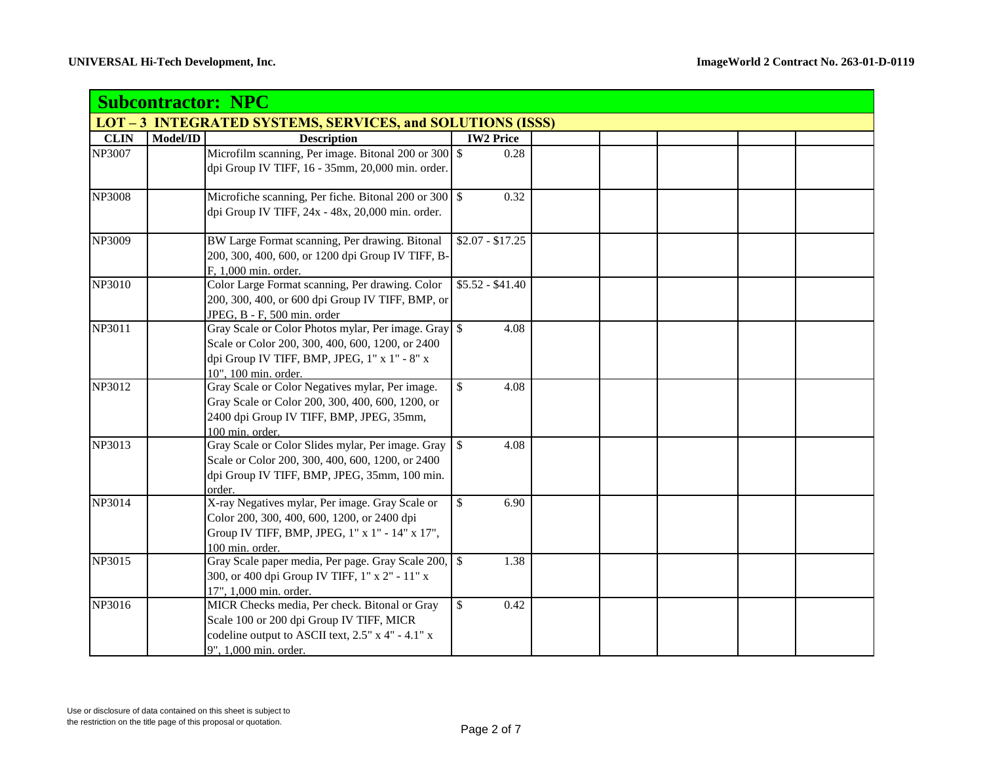|                                                                 | <b>Subcontractor: NPC</b> |                                                                                                                                                                                  |                             |  |  |  |  |  |  |
|-----------------------------------------------------------------|---------------------------|----------------------------------------------------------------------------------------------------------------------------------------------------------------------------------|-----------------------------|--|--|--|--|--|--|
| <b>LOT-3 INTEGRATED SYSTEMS, SERVICES, and SOLUTIONS (ISSS)</b> |                           |                                                                                                                                                                                  |                             |  |  |  |  |  |  |
| <b>CLIN</b>                                                     | Model/ID                  | <b>Description</b>                                                                                                                                                               | <b>IW2 Price</b>            |  |  |  |  |  |  |
| NP3007                                                          |                           | Microfilm scanning, Per image. Bitonal 200 or 300 \$<br>dpi Group IV TIFF, 16 - 35mm, 20,000 min. order.                                                                         | 0.28                        |  |  |  |  |  |  |
| <b>NP3008</b>                                                   |                           | Microfiche scanning, Per fiche. Bitonal 200 or 300 \$<br>dpi Group IV TIFF, 24x - 48x, 20,000 min. order.                                                                        | 0.32                        |  |  |  |  |  |  |
| NP3009                                                          |                           | BW Large Format scanning, Per drawing. Bitonal<br>200, 300, 400, 600, or 1200 dpi Group IV TIFF, B-<br>F, 1,000 min. order.                                                      | $$2.07 - $17.25$            |  |  |  |  |  |  |
| <b>NP3010</b>                                                   |                           | Color Large Format scanning, Per drawing. Color<br>200, 300, 400, or 600 dpi Group IV TIFF, BMP, or<br>JPEG, B - F, 500 min. order                                               | $\overline{$5.52 - $41.40}$ |  |  |  |  |  |  |
| NP3011                                                          |                           | Gray Scale or Color Photos mylar, Per image. Gray \$<br>Scale or Color 200, 300, 400, 600, 1200, or 2400<br>dpi Group IV TIFF, BMP, JPEG, 1" x 1" - 8" x<br>10", 100 min. order. | 4.08                        |  |  |  |  |  |  |
| NP3012                                                          |                           | Gray Scale or Color Negatives mylar, Per image.<br>Gray Scale or Color 200, 300, 400, 600, 1200, or<br>2400 dpi Group IV TIFF, BMP, JPEG, 35mm,<br>100 min. order.               | $\mathbb{S}$<br>4.08        |  |  |  |  |  |  |
| NP3013                                                          |                           | Gray Scale or Color Slides mylar, Per image. Gray<br>Scale or Color 200, 300, 400, 600, 1200, or 2400<br>dpi Group IV TIFF, BMP, JPEG, 35mm, 100 min.<br>order.                  | $\mathbb{S}$<br>4.08        |  |  |  |  |  |  |
| NP3014                                                          |                           | X-ray Negatives mylar, Per image. Gray Scale or<br>Color 200, 300, 400, 600, 1200, or 2400 dpi<br>Group IV TIFF, BMP, JPEG, 1" x 1" - 14" x 17",<br>100 min. order.              | $\mathbb{S}$<br>6.90        |  |  |  |  |  |  |
| NP3015                                                          |                           | Gray Scale paper media, Per page. Gray Scale 200,<br>300, or 400 dpi Group IV TIFF, 1" x 2" - 11" x<br>17", 1,000 min. order.                                                    | $\mathcal{S}$<br>1.38       |  |  |  |  |  |  |
| NP3016                                                          |                           | MICR Checks media, Per check. Bitonal or Gray<br>Scale 100 or 200 dpi Group IV TIFF, MICR<br>codeline output to ASCII text, 2.5" x 4" - 4.1" x<br>9", 1,000 min. order.          | $\mathbb{S}$<br>0.42        |  |  |  |  |  |  |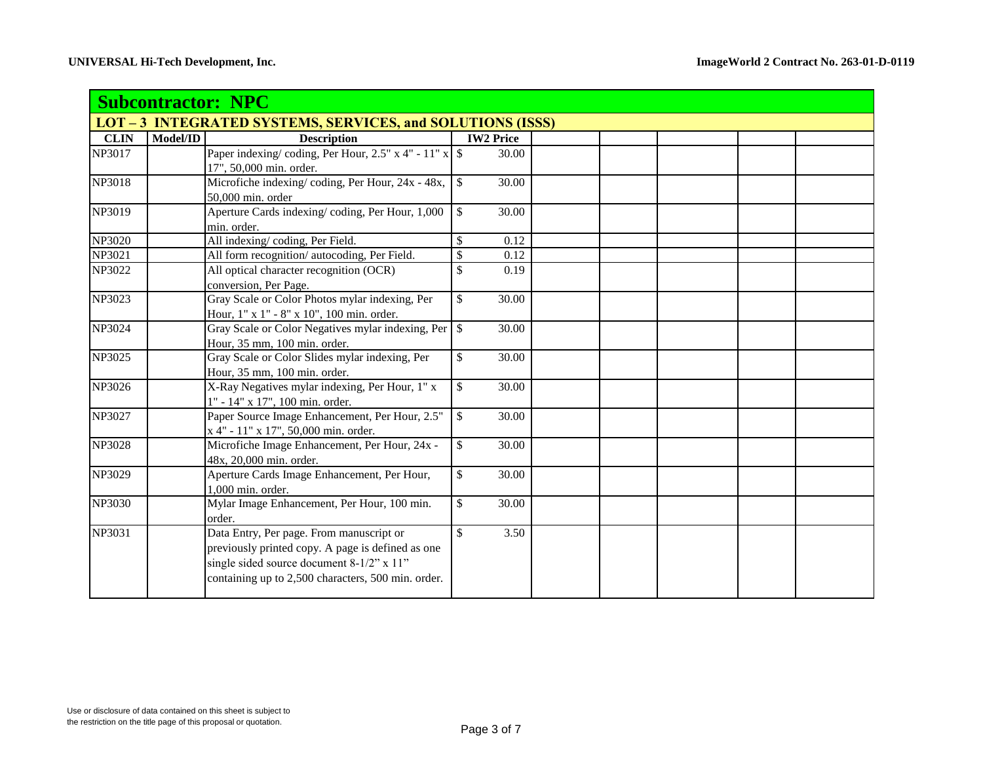|               | <b>Subcontractor: NPC</b>                                  |                                                                                                                                                                                                  |                       |      |  |  |  |  |  |  |
|---------------|------------------------------------------------------------|--------------------------------------------------------------------------------------------------------------------------------------------------------------------------------------------------|-----------------------|------|--|--|--|--|--|--|
|               | LOT - 3 INTEGRATED SYSTEMS, SERVICES, and SOLUTIONS (ISSS) |                                                                                                                                                                                                  |                       |      |  |  |  |  |  |  |
| <b>CLIN</b>   | Model/ID                                                   | <b>Description</b>                                                                                                                                                                               | <b>IW2 Price</b>      |      |  |  |  |  |  |  |
| NP3017        |                                                            | 17", 50,000 min. order.                                                                                                                                                                          | 30.00                 |      |  |  |  |  |  |  |
| NP3018        |                                                            | Microfiche indexing/coding, Per Hour, 24x - 48x,<br>50,000 min. order                                                                                                                            | $\mathbb{S}$<br>30.00 |      |  |  |  |  |  |  |
| NP3019        |                                                            | Aperture Cards indexing/coding, Per Hour, 1,000<br>min. order.                                                                                                                                   | $\mathbb{S}$<br>30.00 |      |  |  |  |  |  |  |
| NP3020        |                                                            | All indexing/coding, Per Field.                                                                                                                                                                  | \$                    | 0.12 |  |  |  |  |  |  |
| NP3021        |                                                            | All form recognition/autocoding, Per Field.                                                                                                                                                      | \$                    | 0.12 |  |  |  |  |  |  |
| NP3022        |                                                            | All optical character recognition (OCR)<br>conversion, Per Page.                                                                                                                                 | \$                    | 0.19 |  |  |  |  |  |  |
| NP3023        |                                                            | Gray Scale or Color Photos mylar indexing, Per<br>Hour, 1" x 1" - 8" x 10", 100 min. order.                                                                                                      | $\mathbb{S}$<br>30.00 |      |  |  |  |  |  |  |
| NP3024        |                                                            | Gray Scale or Color Negatives mylar indexing, Per<br>Hour, 35 mm, 100 min. order.                                                                                                                | $\mathbb{S}$<br>30.00 |      |  |  |  |  |  |  |
| <b>NP3025</b> |                                                            | Gray Scale or Color Slides mylar indexing, Per<br>Hour, 35 mm, 100 min. order.                                                                                                                   | \$<br>30.00           |      |  |  |  |  |  |  |
| NP3026        |                                                            | X-Ray Negatives mylar indexing, Per Hour, 1" x<br>1" - 14" x 17", 100 min. order.                                                                                                                | $\mathbb{S}$<br>30.00 |      |  |  |  |  |  |  |
| NP3027        |                                                            | Paper Source Image Enhancement, Per Hour, 2.5"<br>x 4" - 11" x 17", 50,000 min. order.                                                                                                           | $\mathbb{S}$<br>30.00 |      |  |  |  |  |  |  |
| NP3028        |                                                            | Microfiche Image Enhancement, Per Hour, 24x -<br>48x, 20,000 min. order.                                                                                                                         | $\mathbb{S}$<br>30.00 |      |  |  |  |  |  |  |
| NP3029        |                                                            | Aperture Cards Image Enhancement, Per Hour,<br>1,000 min. order.                                                                                                                                 | \$<br>30.00           |      |  |  |  |  |  |  |
| NP3030        |                                                            | Mylar Image Enhancement, Per Hour, 100 min.<br>order.                                                                                                                                            | $\mathbb{S}$<br>30.00 |      |  |  |  |  |  |  |
| NP3031        |                                                            | Data Entry, Per page. From manuscript or<br>previously printed copy. A page is defined as one<br>single sided source document 8-1/2" x 11"<br>containing up to 2,500 characters, 500 min. order. | \$                    | 3.50 |  |  |  |  |  |  |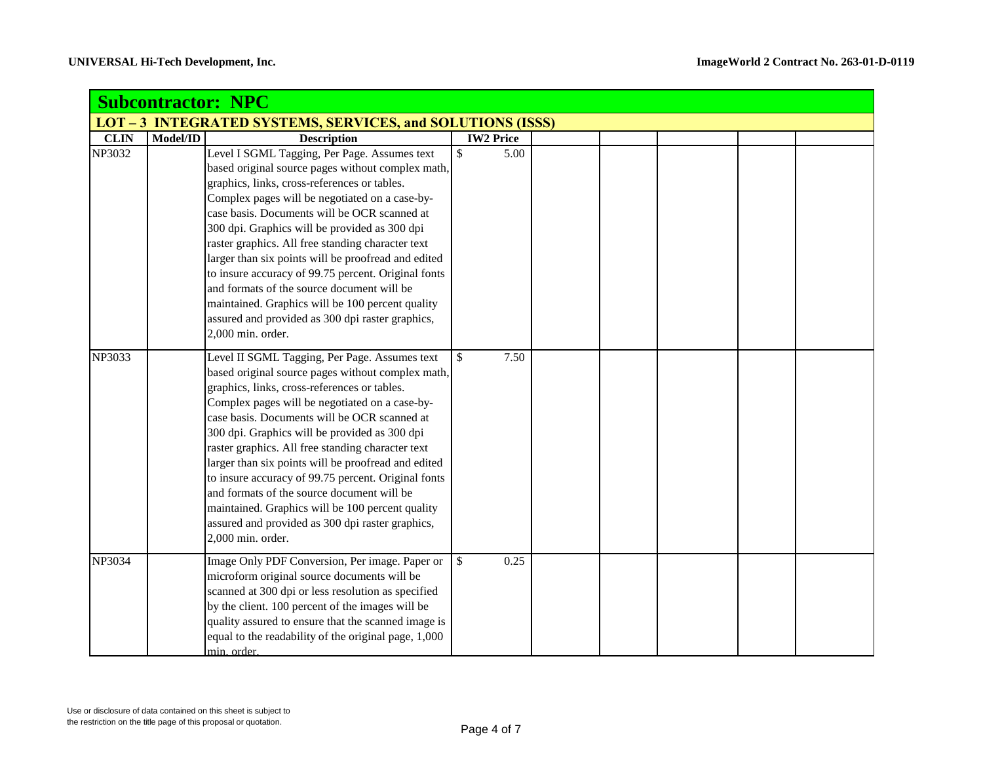| <b>Subcontractor: NPC</b> |                                                            |                                                                                                                                                                                                                                                                                                                                                                                                                                                                                                                                                                                                                                                     |                      |  |  |  |  |  |  |  |
|---------------------------|------------------------------------------------------------|-----------------------------------------------------------------------------------------------------------------------------------------------------------------------------------------------------------------------------------------------------------------------------------------------------------------------------------------------------------------------------------------------------------------------------------------------------------------------------------------------------------------------------------------------------------------------------------------------------------------------------------------------------|----------------------|--|--|--|--|--|--|--|
|                           | LOT - 3 INTEGRATED SYSTEMS, SERVICES, and SOLUTIONS (ISSS) |                                                                                                                                                                                                                                                                                                                                                                                                                                                                                                                                                                                                                                                     |                      |  |  |  |  |  |  |  |
| <b>CLIN</b>               | Model/ID                                                   | <b>Description</b>                                                                                                                                                                                                                                                                                                                                                                                                                                                                                                                                                                                                                                  | <b>IW2 Price</b>     |  |  |  |  |  |  |  |
| NP3032                    |                                                            | Level I SGML Tagging, Per Page. Assumes text<br>based original source pages without complex math,<br>graphics, links, cross-references or tables.<br>Complex pages will be negotiated on a case-by-<br>case basis. Documents will be OCR scanned at<br>300 dpi. Graphics will be provided as 300 dpi<br>raster graphics. All free standing character text<br>larger than six points will be proofread and edited<br>to insure accuracy of 99.75 percent. Original fonts<br>and formats of the source document will be<br>maintained. Graphics will be 100 percent quality<br>assured and provided as 300 dpi raster graphics,<br>2,000 min. order.  | \$<br>5.00           |  |  |  |  |  |  |  |
| NP3033                    |                                                            | Level II SGML Tagging, Per Page. Assumes text<br>based original source pages without complex math,<br>graphics, links, cross-references or tables.<br>Complex pages will be negotiated on a case-by-<br>case basis. Documents will be OCR scanned at<br>300 dpi. Graphics will be provided as 300 dpi<br>raster graphics. All free standing character text<br>larger than six points will be proofread and edited<br>to insure accuracy of 99.75 percent. Original fonts<br>and formats of the source document will be<br>maintained. Graphics will be 100 percent quality<br>assured and provided as 300 dpi raster graphics,<br>2,000 min. order. | $\mathbb{S}$<br>7.50 |  |  |  |  |  |  |  |
| NP3034                    |                                                            | Image Only PDF Conversion, Per image. Paper or<br>microform original source documents will be<br>scanned at 300 dpi or less resolution as specified<br>by the client. 100 percent of the images will be<br>quality assured to ensure that the scanned image is<br>equal to the readability of the original page, 1,000<br>min. order.                                                                                                                                                                                                                                                                                                               | $\mathbb{S}$<br>0.25 |  |  |  |  |  |  |  |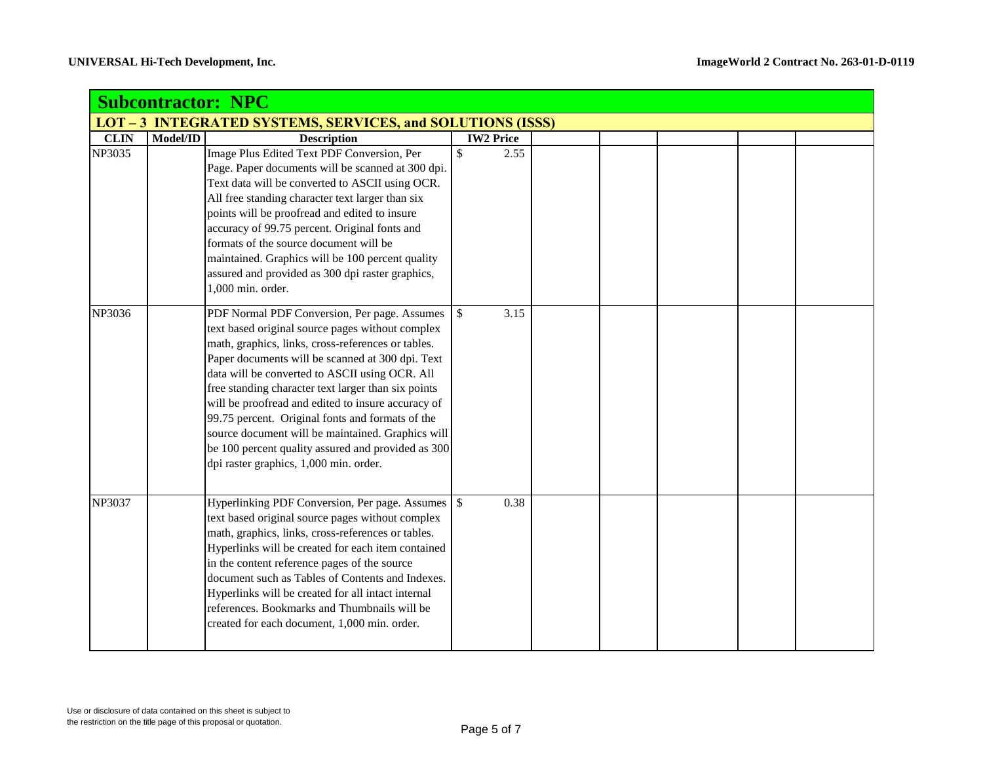|             | <b>Subcontractor: NPC</b>                                         |                                                                                                                                                                                                                                                                                                                                                                                                                                                                                                                                                                                    |               |                  |  |  |  |  |  |  |  |
|-------------|-------------------------------------------------------------------|------------------------------------------------------------------------------------------------------------------------------------------------------------------------------------------------------------------------------------------------------------------------------------------------------------------------------------------------------------------------------------------------------------------------------------------------------------------------------------------------------------------------------------------------------------------------------------|---------------|------------------|--|--|--|--|--|--|--|
|             | <b>LOT - 3 INTEGRATED SYSTEMS, SERVICES, and SOLUTIONS (ISSS)</b> |                                                                                                                                                                                                                                                                                                                                                                                                                                                                                                                                                                                    |               |                  |  |  |  |  |  |  |  |
| <b>CLIN</b> | Model/ID                                                          | <b>Description</b>                                                                                                                                                                                                                                                                                                                                                                                                                                                                                                                                                                 |               | <b>IW2 Price</b> |  |  |  |  |  |  |  |
| NP3035      |                                                                   | Image Plus Edited Text PDF Conversion, Per<br>Page. Paper documents will be scanned at 300 dpi.<br>Text data will be converted to ASCII using OCR.<br>All free standing character text larger than six<br>points will be proofread and edited to insure<br>accuracy of 99.75 percent. Original fonts and<br>formats of the source document will be<br>maintained. Graphics will be 100 percent quality<br>assured and provided as 300 dpi raster graphics,<br>1,000 min. order.                                                                                                    | \$            | 2.55             |  |  |  |  |  |  |  |
| NP3036      |                                                                   | PDF Normal PDF Conversion, Per page. Assumes<br>text based original source pages without complex<br>math, graphics, links, cross-references or tables.<br>Paper documents will be scanned at 300 dpi. Text<br>data will be converted to ASCII using OCR. All<br>free standing character text larger than six points<br>will be proofread and edited to insure accuracy of<br>99.75 percent. Original fonts and formats of the<br>source document will be maintained. Graphics will<br>be 100 percent quality assured and provided as 300<br>dpi raster graphics, 1,000 min. order. | $\mathbb{S}$  | 3.15             |  |  |  |  |  |  |  |
| NP3037      |                                                                   | Hyperlinking PDF Conversion, Per page. Assumes<br>text based original source pages without complex<br>math, graphics, links, cross-references or tables.<br>Hyperlinks will be created for each item contained<br>in the content reference pages of the source<br>document such as Tables of Contents and Indexes.<br>Hyperlinks will be created for all intact internal<br>references. Bookmarks and Thumbnails will be<br>created for each document, 1,000 min. order.                                                                                                           | $\mathcal{S}$ | 0.38             |  |  |  |  |  |  |  |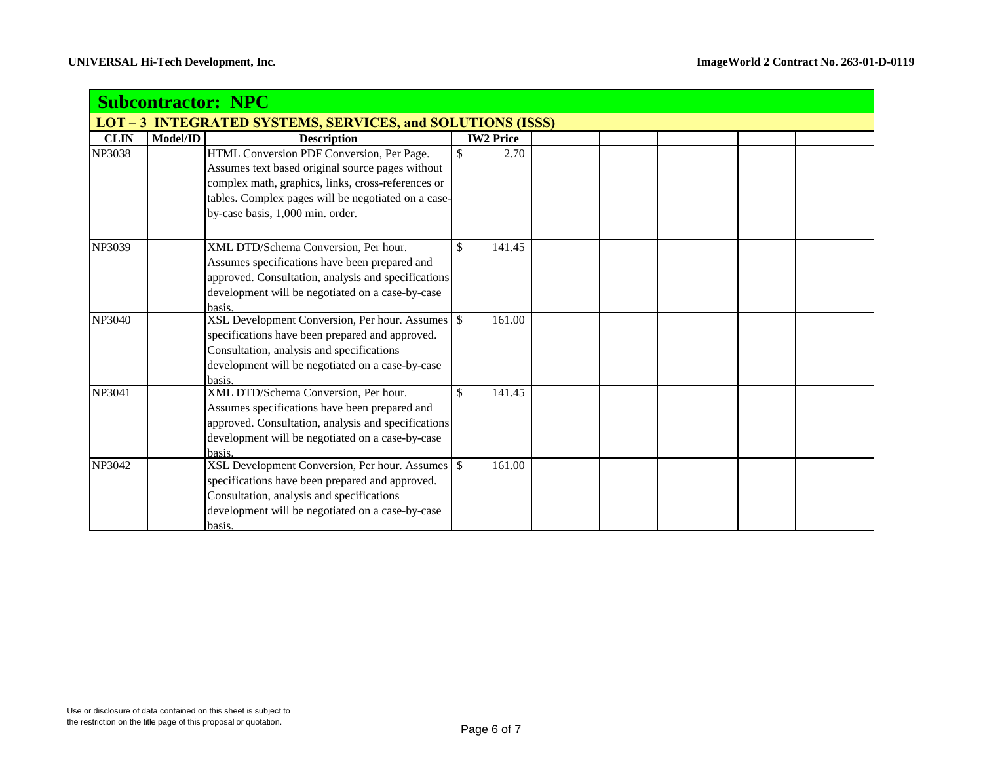|                                                            | <b>Subcontractor: NPC</b> |                                                                                                      |                  |  |  |  |  |  |  |  |
|------------------------------------------------------------|---------------------------|------------------------------------------------------------------------------------------------------|------------------|--|--|--|--|--|--|--|
| LOT - 3 INTEGRATED SYSTEMS, SERVICES, and SOLUTIONS (ISSS) |                           |                                                                                                      |                  |  |  |  |  |  |  |  |
| <b>CLIN</b>                                                | Model/ID                  | <b>Description</b>                                                                                   | <b>IW2 Price</b> |  |  |  |  |  |  |  |
| <b>NP3038</b>                                              |                           | HTML Conversion PDF Conversion, Per Page.                                                            | \$<br>2.70       |  |  |  |  |  |  |  |
|                                                            |                           | Assumes text based original source pages without                                                     |                  |  |  |  |  |  |  |  |
|                                                            |                           | complex math, graphics, links, cross-references or                                                   |                  |  |  |  |  |  |  |  |
|                                                            |                           | tables. Complex pages will be negotiated on a case-                                                  |                  |  |  |  |  |  |  |  |
|                                                            |                           | by-case basis, 1,000 min. order.                                                                     |                  |  |  |  |  |  |  |  |
| NP3039                                                     |                           | XML DTD/Schema Conversion, Per hour.                                                                 | \$<br>141.45     |  |  |  |  |  |  |  |
|                                                            |                           | Assumes specifications have been prepared and                                                        |                  |  |  |  |  |  |  |  |
|                                                            |                           | approved. Consultation, analysis and specifications                                                  |                  |  |  |  |  |  |  |  |
|                                                            |                           | development will be negotiated on a case-by-case                                                     |                  |  |  |  |  |  |  |  |
|                                                            |                           | basis.                                                                                               |                  |  |  |  |  |  |  |  |
| <b>NP3040</b>                                              |                           |                                                                                                      | 161.00           |  |  |  |  |  |  |  |
|                                                            |                           | specifications have been prepared and approved.                                                      |                  |  |  |  |  |  |  |  |
|                                                            |                           | Consultation, analysis and specifications                                                            |                  |  |  |  |  |  |  |  |
|                                                            |                           | development will be negotiated on a case-by-case                                                     |                  |  |  |  |  |  |  |  |
|                                                            |                           | basis.                                                                                               |                  |  |  |  |  |  |  |  |
| NP3041                                                     |                           | XML DTD/Schema Conversion, Per hour.                                                                 | \$<br>141.45     |  |  |  |  |  |  |  |
|                                                            |                           | Assumes specifications have been prepared and<br>approved. Consultation, analysis and specifications |                  |  |  |  |  |  |  |  |
|                                                            |                           | development will be negotiated on a case-by-case                                                     |                  |  |  |  |  |  |  |  |
|                                                            |                           | basis.                                                                                               |                  |  |  |  |  |  |  |  |
| <b>NP3042</b>                                              |                           | XSL Development Conversion, Per hour. Assumes \ \$                                                   | 161.00           |  |  |  |  |  |  |  |
|                                                            |                           | specifications have been prepared and approved.                                                      |                  |  |  |  |  |  |  |  |
|                                                            |                           | Consultation, analysis and specifications                                                            |                  |  |  |  |  |  |  |  |
|                                                            |                           | development will be negotiated on a case-by-case                                                     |                  |  |  |  |  |  |  |  |
|                                                            |                           | basis.                                                                                               |                  |  |  |  |  |  |  |  |